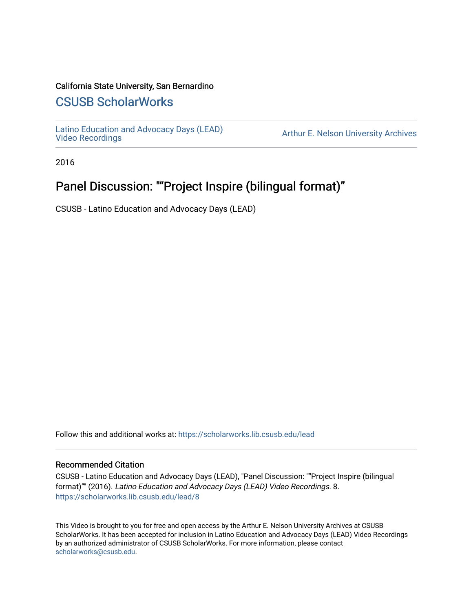#### California State University, San Bernardino

## [CSUSB ScholarWorks](https://scholarworks.lib.csusb.edu/)

[Latino Education and Advocacy Days \(LEAD\)](https://scholarworks.lib.csusb.edu/lead) 

Arthur E. Nelson University Archives

2016

# Panel Discussion: ""Project Inspire (bilingual format)"

CSUSB - Latino Education and Advocacy Days (LEAD)

Follow this and additional works at: [https://scholarworks.lib.csusb.edu/lead](https://scholarworks.lib.csusb.edu/lead?utm_source=scholarworks.lib.csusb.edu%2Flead%2F8&utm_medium=PDF&utm_campaign=PDFCoverPages)

#### Recommended Citation

CSUSB - Latino Education and Advocacy Days (LEAD), "Panel Discussion: ""Project Inspire (bilingual format)"" (2016). Latino Education and Advocacy Days (LEAD) Video Recordings. 8. [https://scholarworks.lib.csusb.edu/lead/8](https://scholarworks.lib.csusb.edu/lead/8?utm_source=scholarworks.lib.csusb.edu%2Flead%2F8&utm_medium=PDF&utm_campaign=PDFCoverPages)

This Video is brought to you for free and open access by the Arthur E. Nelson University Archives at CSUSB ScholarWorks. It has been accepted for inclusion in Latino Education and Advocacy Days (LEAD) Video Recordings by an authorized administrator of CSUSB ScholarWorks. For more information, please contact [scholarworks@csusb.edu](mailto:scholarworks@csusb.edu).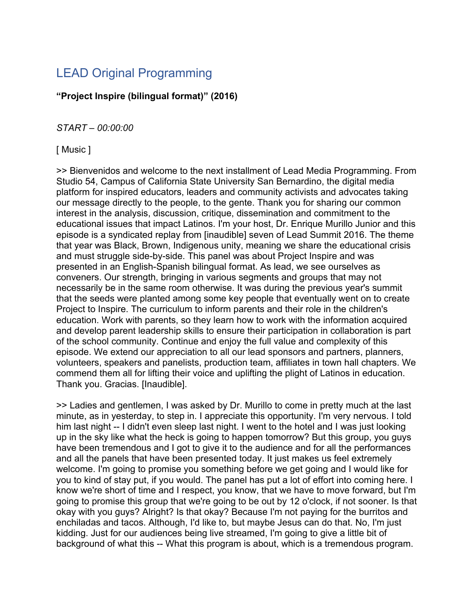# LEAD Original Programming

### **"Project Inspire (bilingual format)" (2016)**

*START – 00:00:00*

[ Music ]

>> Bienvenidos and welcome to the next installment of Lead Media Programming. From Studio 54, Campus of California State University San Bernardino, the digital media platform for inspired educators, leaders and community activists and advocates taking our message directly to the people, to the gente. Thank you for sharing our common interest in the analysis, discussion, critique, dissemination and commitment to the educational issues that impact Latinos. I'm your host, Dr. Enrique Murillo Junior and this episode is a syndicated replay from [inaudible] seven of Lead Summit 2016. The theme that year was Black, Brown, Indigenous unity, meaning we share the educational crisis and must struggle side-by-side. This panel was about Project Inspire and was presented in an English-Spanish bilingual format. As lead, we see ourselves as conveners. Our strength, bringing in various segments and groups that may not necessarily be in the same room otherwise. It was during the previous year's summit that the seeds were planted among some key people that eventually went on to create Project to Inspire. The curriculum to inform parents and their role in the children's education. Work with parents, so they learn how to work with the information acquired and develop parent leadership skills to ensure their participation in collaboration is part of the school community. Continue and enjoy the full value and complexity of this episode. We extend our appreciation to all our lead sponsors and partners, planners, volunteers, speakers and panelists, production team, affiliates in town hall chapters. We commend them all for lifting their voice and uplifting the plight of Latinos in education. Thank you. Gracias. [Inaudible].

>> Ladies and gentlemen, I was asked by Dr. Murillo to come in pretty much at the last minute, as in yesterday, to step in. I appreciate this opportunity. I'm very nervous. I told him last night -- I didn't even sleep last night. I went to the hotel and I was just looking up in the sky like what the heck is going to happen tomorrow? But this group, you guys have been tremendous and I got to give it to the audience and for all the performances and all the panels that have been presented today. It just makes us feel extremely welcome. I'm going to promise you something before we get going and I would like for you to kind of stay put, if you would. The panel has put a lot of effort into coming here. I know we're short of time and I respect, you know, that we have to move forward, but I'm going to promise this group that we're going to be out by 12 o'clock, if not sooner. Is that okay with you guys? Alright? Is that okay? Because I'm not paying for the burritos and enchiladas and tacos. Although, I'd like to, but maybe Jesus can do that. No, I'm just kidding. Just for our audiences being live streamed, I'm going to give a little bit of background of what this -- What this program is about, which is a tremendous program.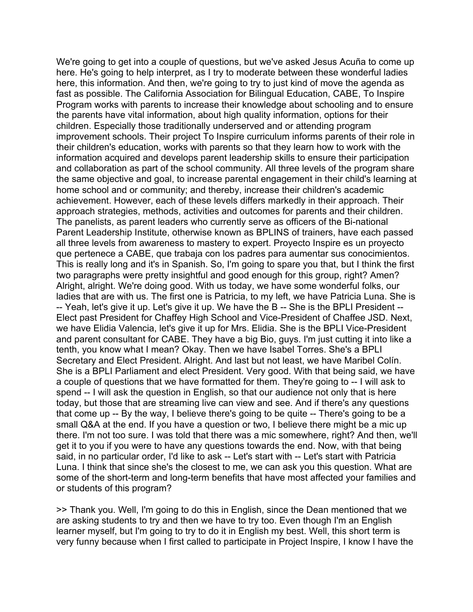We're going to get into a couple of questions, but we've asked Jesus Acuña to come up here. He's going to help interpret, as I try to moderate between these wonderful ladies here, this information. And then, we're going to try to just kind of move the agenda as fast as possible. The California Association for Bilingual Education, CABE, To Inspire Program works with parents to increase their knowledge about schooling and to ensure the parents have vital information, about high quality information, options for their children. Especially those traditionally underserved and or attending program improvement schools. Their project To Inspire curriculum informs parents of their role in their children's education, works with parents so that they learn how to work with the information acquired and develops parent leadership skills to ensure their participation and collaboration as part of the school community. All three levels of the program share the same objective and goal, to increase parental engagement in their child's learning at home school and or community; and thereby, increase their children's academic achievement. However, each of these levels differs markedly in their approach. Their approach strategies, methods, activities and outcomes for parents and their children. The panelists, as parent leaders who currently serve as officers of the Bi-national Parent Leadership Institute, otherwise known as BPLINS of trainers, have each passed all three levels from awareness to mastery to expert. Proyecto Inspire es un proyecto que pertenece a CABE, que trabaja con los padres para aumentar sus conocimientos. This is really long and it's in Spanish. So, I'm going to spare you that, but I think the first two paragraphs were pretty insightful and good enough for this group, right? Amen? Alright, alright. We're doing good. With us today, we have some wonderful folks, our ladies that are with us. The first one is Patricia, to my left, we have Patricia Luna. She is -- Yeah, let's give it up. Let's give it up. We have the B -- She is the BPLI President -- Elect past President for Chaffey High School and Vice-President of Chaffee JSD. Next, we have Elidia Valencia, let's give it up for Mrs. Elidia. She is the BPLI Vice-President and parent consultant for CABE. They have a big Bio, guys. I'm just cutting it into like a tenth, you know what I mean? Okay. Then we have Isabel Torres. She's a BPLI Secretary and Elect President. Alright. And last but not least, we have Maribel Colín. She is a BPLI Parliament and elect President. Very good. With that being said, we have a couple of questions that we have formatted for them. They're going to -- I will ask to spend -- I will ask the question in English, so that our audience not only that is here today, but those that are streaming live can view and see. And if there's any questions that come up -- By the way, I believe there's going to be quite -- There's going to be a small Q&A at the end. If you have a question or two, I believe there might be a mic up there. I'm not too sure. I was told that there was a mic somewhere, right? And then, we'll get it to you if you were to have any questions towards the end. Now, with that being said, in no particular order, I'd like to ask -- Let's start with -- Let's start with Patricia Luna. I think that since she's the closest to me, we can ask you this question. What are some of the short-term and long-term benefits that have most affected your families and or students of this program?

>> Thank you. Well, I'm going to do this in English, since the Dean mentioned that we are asking students to try and then we have to try too. Even though I'm an English learner myself, but I'm going to try to do it in English my best. Well, this short term is very funny because when I first called to participate in Project Inspire, I know I have the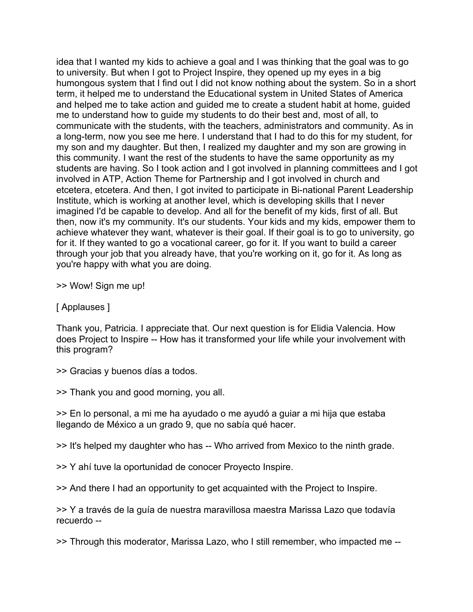idea that I wanted my kids to achieve a goal and I was thinking that the goal was to go to university. But when I got to Project Inspire, they opened up my eyes in a big humongous system that I find out I did not know nothing about the system. So in a short term, it helped me to understand the Educational system in United States of America and helped me to take action and guided me to create a student habit at home, guided me to understand how to guide my students to do their best and, most of all, to communicate with the students, with the teachers, administrators and community. As in a long-term, now you see me here. I understand that I had to do this for my student, for my son and my daughter. But then, I realized my daughter and my son are growing in this community. I want the rest of the students to have the same opportunity as my students are having. So I took action and I got involved in planning committees and I got involved in ATP, Action Theme for Partnership and I got involved in church and etcetera, etcetera. And then, I got invited to participate in Bi-national Parent Leadership Institute, which is working at another level, which is developing skills that I never imagined I'd be capable to develop. And all for the benefit of my kids, first of all. But then, now it's my community. It's our students. Your kids and my kids, empower them to achieve whatever they want, whatever is their goal. If their goal is to go to university, go for it. If they wanted to go a vocational career, go for it. If you want to build a career through your job that you already have, that you're working on it, go for it. As long as you're happy with what you are doing.

>> Wow! Sign me up!

[ Applauses ]

Thank you, Patricia. I appreciate that. Our next question is for Elidia Valencia. How does Project to Inspire -- How has it transformed your life while your involvement with this program?

>> Gracias y buenos días a todos.

>> Thank you and good morning, you all.

>> En lo personal, a mi me ha ayudado o me ayudó a guiar a mi hija que estaba llegando de México a un grado 9, que no sabía qué hacer.

>> It's helped my daughter who has -- Who arrived from Mexico to the ninth grade.

>> Y ahí tuve la oportunidad de conocer Proyecto Inspire.

>> And there I had an opportunity to get acquainted with the Project to Inspire.

>> Y a través de la guía de nuestra maravillosa maestra Marissa Lazo que todavía recuerdo --

>> Through this moderator, Marissa Lazo, who I still remember, who impacted me --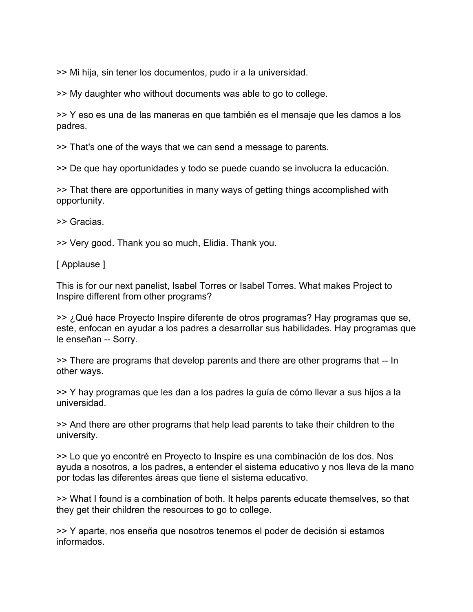>> Mi hija, sin tener los documentos, pudo ir a la universidad.

>> My daughter who without documents was able to go to college.

>> Y eso es una de las maneras en que también es el mensaje que les damos a los padres.

>> That's one of the ways that we can send a message to parents.

>> De que hay oportunidades y todo se puede cuando se involucra la educación.

>> That there are opportunities in many ways of getting things accomplished with opportunity.

>> Gracias.

>> Very good. Thank you so much, Elidia. Thank you.

[ Applause ]

This is for our next panelist, Isabel Torres or Isabel Torres. What makes Project to Inspire different from other programs?

>> ¿Qué hace Proyecto Inspire diferente de otros programas? Hay programas que se, este, enfocan en ayudar a los padres a desarrollar sus habilidades. Hay programas que le enseñan -- Sorry.

>> There are programs that develop parents and there are other programs that -- In other ways.

>> Y hay programas que les dan a los padres la guía de cómo llevar a sus hijos a la universidad.

>> And there are other programs that help lead parents to take their children to the university.

>> Lo que yo encontré en Proyecto to Inspire es una combinación de los dos. Nos ayuda a nosotros, a los padres, a entender el sistema educativo y nos lleva de la mano por todas las diferentes áreas que tiene el sistema educativo.

>> What I found is a combination of both. It helps parents educate themselves, so that they get their children the resources to go to college.

>> Y aparte, nos enseña que nosotros tenemos el poder de decisión si estamos informados.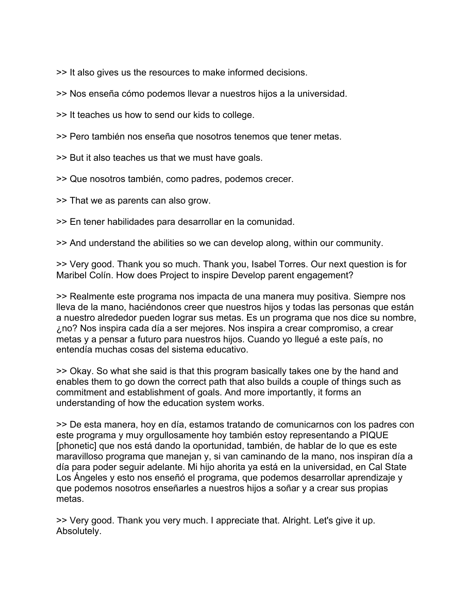>> It also gives us the resources to make informed decisions.

>> Nos enseña cómo podemos llevar a nuestros hijos a la universidad.

>> It teaches us how to send our kids to college.

>> Pero también nos enseña que nosotros tenemos que tener metas.

>> But it also teaches us that we must have goals.

>> Que nosotros también, como padres, podemos crecer.

>> That we as parents can also grow.

>> En tener habilidades para desarrollar en la comunidad.

>> And understand the abilities so we can develop along, within our community.

>> Very good. Thank you so much. Thank you, Isabel Torres. Our next question is for Maribel Colín. How does Project to inspire Develop parent engagement?

>> Realmente este programa nos impacta de una manera muy positiva. Siempre nos lleva de la mano, haciéndonos creer que nuestros hijos y todas las personas que están a nuestro alrededor pueden lograr sus metas. Es un programa que nos dice su nombre, ¿no? Nos inspira cada día a ser mejores. Nos inspira a crear compromiso, a crear metas y a pensar a futuro para nuestros hijos. Cuando yo llegué a este país, no entendía muchas cosas del sistema educativo.

>> Okay. So what she said is that this program basically takes one by the hand and enables them to go down the correct path that also builds a couple of things such as commitment and establishment of goals. And more importantly, it forms an understanding of how the education system works.

>> De esta manera, hoy en día, estamos tratando de comunicarnos con los padres con este programa y muy orgullosamente hoy también estoy representando a PIQUE [phonetic] que nos está dando la oportunidad, también, de hablar de lo que es este maravilloso programa que manejan y, si van caminando de la mano, nos inspiran día a día para poder seguir adelante. Mi hijo ahorita ya está en la universidad, en Cal State Los Ángeles y esto nos enseñó el programa, que podemos desarrollar aprendizaje y que podemos nosotros enseñarles a nuestros hijos a soñar y a crear sus propias metas.

>> Very good. Thank you very much. I appreciate that. Alright. Let's give it up. Absolutely.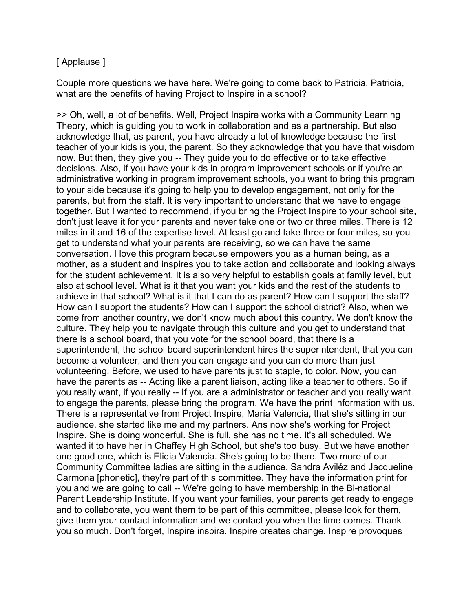### [ Applause ]

Couple more questions we have here. We're going to come back to Patricia. Patricia, what are the benefits of having Project to Inspire in a school?

>> Oh, well, a lot of benefits. Well, Project Inspire works with a Community Learning Theory, which is guiding you to work in collaboration and as a partnership. But also acknowledge that, as parent, you have already a lot of knowledge because the first teacher of your kids is you, the parent. So they acknowledge that you have that wisdom now. But then, they give you -- They guide you to do effective or to take effective decisions. Also, if you have your kids in program improvement schools or if you're an administrative working in program improvement schools, you want to bring this program to your side because it's going to help you to develop engagement, not only for the parents, but from the staff. It is very important to understand that we have to engage together. But I wanted to recommend, if you bring the Project Inspire to your school site, don't just leave it for your parents and never take one or two or three miles. There is 12 miles in it and 16 of the expertise level. At least go and take three or four miles, so you get to understand what your parents are receiving, so we can have the same conversation. I love this program because empowers you as a human being, as a mother, as a student and inspires you to take action and collaborate and looking always for the student achievement. It is also very helpful to establish goals at family level, but also at school level. What is it that you want your kids and the rest of the students to achieve in that school? What is it that I can do as parent? How can I support the staff? How can I support the students? How can I support the school district? Also, when we come from another country, we don't know much about this country. We don't know the culture. They help you to navigate through this culture and you get to understand that there is a school board, that you vote for the school board, that there is a superintendent, the school board superintendent hires the superintendent, that you can become a volunteer, and then you can engage and you can do more than just volunteering. Before, we used to have parents just to staple, to color. Now, you can have the parents as -- Acting like a parent liaison, acting like a teacher to others. So if you really want, if you really -- If you are a administrator or teacher and you really want to engage the parents, please bring the program. We have the print information with us. There is a representative from Project Inspire, María Valencia, that she's sitting in our audience, she started like me and my partners. Ans now she's working for Project Inspire. She is doing wonderful. She is full, she has no time. It's all scheduled. We wanted it to have her in Chaffey High School, but she's too busy. But we have another one good one, which is Elidia Valencia. She's going to be there. Two more of our Community Committee ladies are sitting in the audience. Sandra Aviléz and Jacqueline Carmona [phonetic], they're part of this committee. They have the information print for you and we are going to call -- We're going to have membership in the Bi-national Parent Leadership Institute. If you want your families, your parents get ready to engage and to collaborate, you want them to be part of this committee, please look for them, give them your contact information and we contact you when the time comes. Thank you so much. Don't forget, Inspire inspira. Inspire creates change. Inspire provoques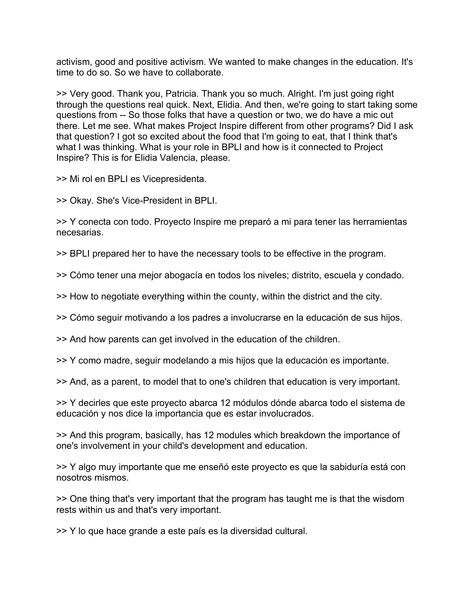activism, good and positive activism. We wanted to make changes in the education. It's time to do so. So we have to collaborate.

>> Very good. Thank you, Patricia. Thank you so much. Alright. I'm just going right through the questions real quick. Next, Elidia. And then, we're going to start taking some questions from -- So those folks that have a question or two, we do have a mic out there. Let me see. What makes Project Inspire different from other programs? Did I ask that question? I got so excited about the food that I'm going to eat, that I think that's what I was thinking. What is your role in BPLI and how is it connected to Project Inspire? This is for Elidia Valencia, please.

>> Mi rol en BPLI es Vicepresidenta.

>> Okay. She's Vice-President in BPLI.

>> Y conecta con todo. Proyecto Inspire me preparó a mi para tener las herramientas necesarias.

>> BPLI prepared her to have the necessary tools to be effective in the program.

>> Cómo tener una mejor abogacía en todos los niveles; distrito, escuela y condado.

>> How to negotiate everything within the county, within the district and the city.

>> Cómo seguir motivando a los padres a involucrarse en la educación de sus hijos.

>> And how parents can get involved in the education of the children.

>> Y como madre, seguir modelando a mis hijos que la educación es importante.

>> And, as a parent, to model that to one's children that education is very important.

>> Y decirles que este proyecto abarca 12 módulos dónde abarca todo el sistema de educación y nos dice la importancia que es estar involucrados.

>> And this program, basically, has 12 modules which breakdown the importance of one's involvement in your child's development and education.

>> Y algo muy importante que me enseñó este proyecto es que la sabiduría está con nosotros mismos.

>> One thing that's very important that the program has taught me is that the wisdom rests within us and that's very important.

>> Y lo que hace grande a este país es la diversidad cultural.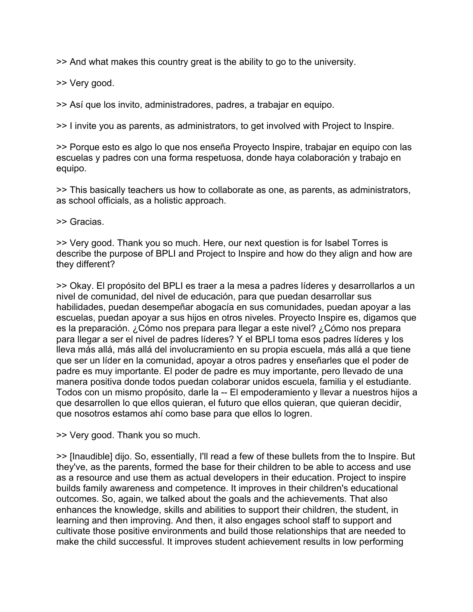>> And what makes this country great is the ability to go to the university.

>> Very good.

>> Así que los invito, administradores, padres, a trabajar en equipo.

>> I invite you as parents, as administrators, to get involved with Project to Inspire.

>> Porque esto es algo lo que nos enseña Proyecto Inspire, trabajar en equipo con las escuelas y padres con una forma respetuosa, donde haya colaboración y trabajo en equipo.

>> This basically teachers us how to collaborate as one, as parents, as administrators, as school officials, as a holistic approach.

>> Gracias.

>> Very good. Thank you so much. Here, our next question is for Isabel Torres is describe the purpose of BPLI and Project to Inspire and how do they align and how are they different?

>> Okay. El propósito del BPLI es traer a la mesa a padres líderes y desarrollarlos a un nivel de comunidad, del nivel de educación, para que puedan desarrollar sus habilidades, puedan desempeñar abogacía en sus comunidades, puedan apoyar a las escuelas, puedan apoyar a sus hijos en otros niveles. Proyecto Inspire es, digamos que es la preparación. ¿Cómo nos prepara para llegar a este nivel? ¿Cómo nos prepara para llegar a ser el nivel de padres líderes? Y el BPLI toma esos padres líderes y los lleva más allá, más allá del involucramiento en su propia escuela, más allá a que tiene que ser un líder en la comunidad, apoyar a otros padres y enseñarles que el poder de padre es muy importante. El poder de padre es muy importante, pero llevado de una manera positiva donde todos puedan colaborar unidos escuela, familia y el estudiante. Todos con un mismo propósito, darle la -- El empoderamiento y llevar a nuestros hijos a que desarrollen lo que ellos quieran, el futuro que ellos quieran, que quieran decidir, que nosotros estamos ahí como base para que ellos lo logren.

>> Very good. Thank you so much.

>> [Inaudible] dijo. So, essentially, I'll read a few of these bullets from the to Inspire. But they've, as the parents, formed the base for their children to be able to access and use as a resource and use them as actual developers in their education. Project to inspire builds family awareness and competence. It improves in their children's educational outcomes. So, again, we talked about the goals and the achievements. That also enhances the knowledge, skills and abilities to support their children, the student, in learning and then improving. And then, it also engages school staff to support and cultivate those positive environments and build those relationships that are needed to make the child successful. It improves student achievement results in low performing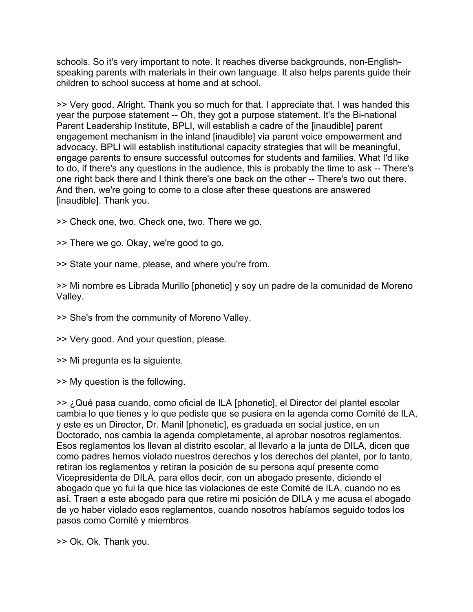schools. So it's very important to note. It reaches diverse backgrounds, non-Englishspeaking parents with materials in their own language. It also helps parents guide their children to school success at home and at school.

>> Very good. Alright. Thank you so much for that. I appreciate that. I was handed this year the purpose statement -- Oh, they got a purpose statement. It's the Bi-national Parent Leadership Institute, BPLI, will establish a cadre of the [inaudible] parent engagement mechanism in the inland [inaudible] via parent voice empowerment and advocacy. BPLI will establish institutional capacity strategies that will be meaningful, engage parents to ensure successful outcomes for students and families. What I'd like to do, if there's any questions in the audience, this is probably the time to ask -- There's one right back there and I think there's one back on the other -- There's two out there. And then, we're going to come to a close after these questions are answered [inaudible]. Thank you.

>> Check one, two. Check one, two. There we go.

>> There we go. Okay, we're good to go.

>> State your name, please, and where you're from.

>> Mi nombre es Librada Murillo [phonetic] y soy un padre de la comunidad de Moreno Valley.

>> She's from the community of Moreno Valley.

>> Very good. And your question, please.

>> Mi pregunta es la siguiente.

>> My question is the following.

>> ¿Qué pasa cuando, como oficial de ILA [phonetic], el Director del plantel escolar cambia lo que tienes y lo que pediste que se pusiera en la agenda como Comité de ILA, y este es un Director, Dr. Manil [phonetic], es graduada en social justice, en un Doctorado, nos cambia la agenda completamente, al aprobar nosotros reglamentos. Esos reglamentos los llevan al distrito escolar, al llevarlo a la junta de DILA, dicen que como padres hemos violado nuestros derechos y los derechos del plantel, por lo tanto, retiran los reglamentos y retiran la posición de su persona aquí presente como Vicepresidenta de DILA, para ellos decir, con un abogado presente, diciendo el abogado que yo fui la que hice las violaciones de este Comité de ILA, cuando no es así. Traen a este abogado para que retire mi posición de DILA y me acusa el abogado de yo haber violado esos reglamentos, cuando nosotros habíamos seguido todos los pasos como Comité y miembros.

>> Ok. Ok. Thank you.